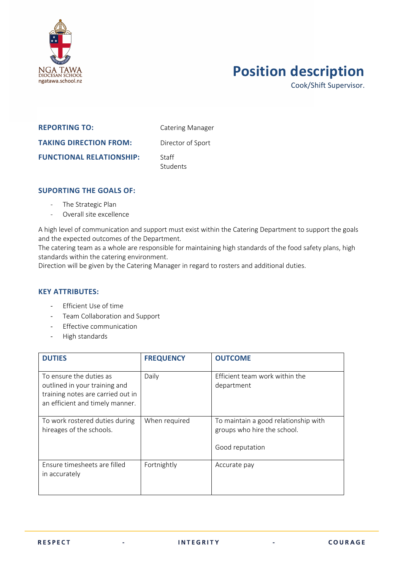

## **Position description**

Cook/Shift Supervisor.

## **REPORTING TO:** Catering Manager **TAKING DIRECTION FROM:** Director of Sport **FUNCTIONAL RELATIONSHIP:** Staff Students

## **SUPORTING THE GOALS OF:**

- The Strategic Plan
- Overall site excellence

A high level of communication and support must exist within the Catering Department to support the goals and the expected outcomes of the Department.

The catering team as a whole are responsible for maintaining high standards of the food safety plans, high standards within the catering environment.

Direction will be given by the Catering Manager in regard to rosters and additional duties.

## **KEY ATTRIBUTES:**

- Efficient Use of time
- Team Collaboration and Support

à.

- Effective communication
- High standards

| <b>DUTIES</b>                                                                                                                    | <b>FREQUENCY</b> | <b>OUTCOME</b>                                                                         |
|----------------------------------------------------------------------------------------------------------------------------------|------------------|----------------------------------------------------------------------------------------|
| To ensure the duties as<br>outlined in your training and<br>training notes are carried out in<br>an efficient and timely manner. | Daily            | Efficient team work within the<br>department                                           |
| To work rostered duties during<br>hireages of the schools.                                                                       | When required    | To maintain a good relationship with<br>groups who hire the school.<br>Good reputation |
| Ensure timesheets are filled<br>in accurately                                                                                    | Fortnightly      | Accurate pay                                                                           |

à.